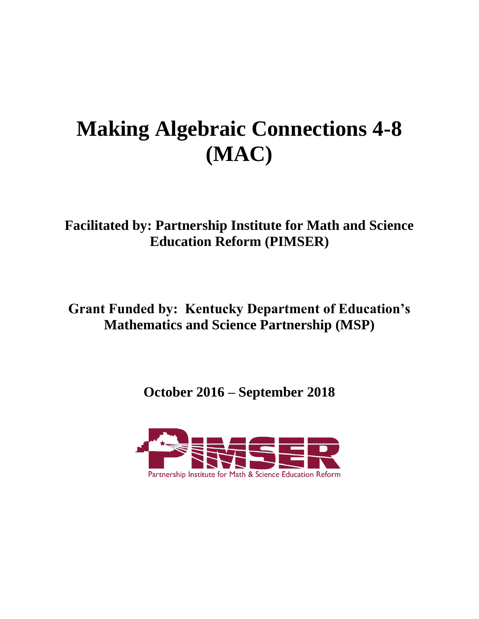# **Making Algebraic Connections 4-8 (MAC)**

**Facilitated by: Partnership Institute for Math and Science Education Reform (PIMSER)**

**Grant Funded by: Kentucky Department of Education's Mathematics and Science Partnership (MSP)**

**October 2016 – September 2018**

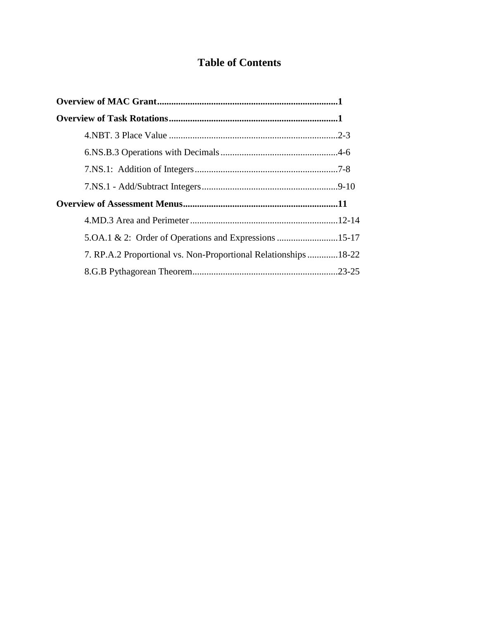# **Table of Contents**

| 5. OA.1 & 2: Order of Operations and Expressions 15-17          |  |
|-----------------------------------------------------------------|--|
| 7. RP.A.2 Proportional vs. Non-Proportional Relationships 18-22 |  |
|                                                                 |  |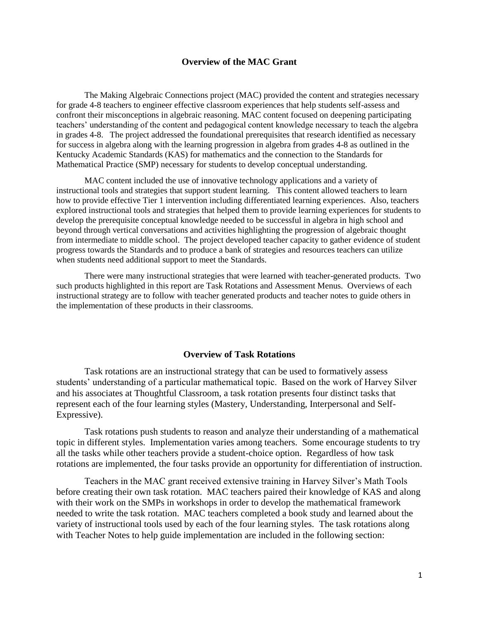#### **Overview of the MAC Grant**

The Making Algebraic Connections project (MAC) provided the content and strategies necessary for grade 4-8 teachers to engineer effective classroom experiences that help students self-assess and confront their misconceptions in algebraic reasoning. MAC content focused on deepening participating teachers' understanding of the content and pedagogical content knowledge necessary to teach the algebra in grades 4-8. The project addressed the foundational prerequisites that research identified as necessary for success in algebra along with the learning progression in algebra from grades 4-8 as outlined in the Kentucky Academic Standards (KAS) for mathematics and the connection to the Standards for Mathematical Practice (SMP) necessary for students to develop conceptual understanding.

MAC content included the use of innovative technology applications and a variety of instructional tools and strategies that support student learning. This content allowed teachers to learn how to provide effective Tier 1 intervention including differentiated learning experiences. Also, teachers explored instructional tools and strategies that helped them to provide learning experiences for students to develop the prerequisite conceptual knowledge needed to be successful in algebra in high school and beyond through vertical conversations and activities highlighting the progression of algebraic thought from intermediate to middle school. The project developed teacher capacity to gather evidence of student progress towards the Standards and to produce a bank of strategies and resources teachers can utilize when students need additional support to meet the Standards.

There were many instructional strategies that were learned with teacher-generated products. Two such products highlighted in this report are Task Rotations and Assessment Menus. Overviews of each instructional strategy are to follow with teacher generated products and teacher notes to guide others in the implementation of these products in their classrooms.

#### **Overview of Task Rotations**

Task rotations are an instructional strategy that can be used to formatively assess students' understanding of a particular mathematical topic. Based on the work of Harvey Silver and his associates at Thoughtful Classroom, a task rotation presents four distinct tasks that represent each of the four learning styles (Mastery, Understanding, Interpersonal and Self-Expressive).

Task rotations push students to reason and analyze their understanding of a mathematical topic in different styles. Implementation varies among teachers. Some encourage students to try all the tasks while other teachers provide a student-choice option. Regardless of how task rotations are implemented, the four tasks provide an opportunity for differentiation of instruction.

Teachers in the MAC grant received extensive training in Harvey Silver's Math Tools before creating their own task rotation. MAC teachers paired their knowledge of KAS and along with their work on the SMPs in workshops in order to develop the mathematical framework needed to write the task rotation. MAC teachers completed a book study and learned about the variety of instructional tools used by each of the four learning styles. The task rotations along with Teacher Notes to help guide implementation are included in the following section: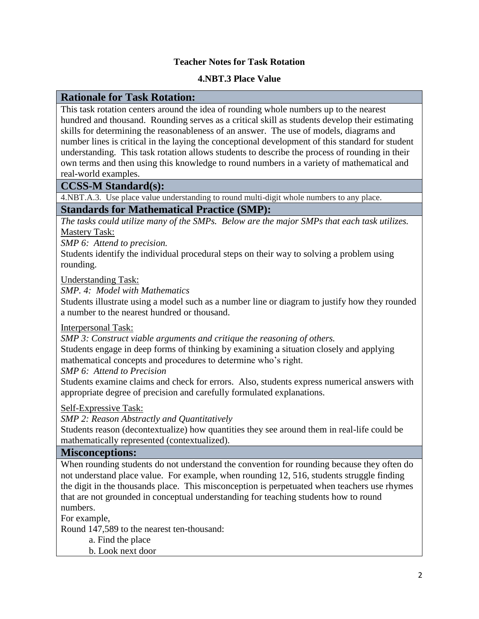#### **Teacher Notes for Task Rotation**

#### **4.NBT.3 Place Value**

#### **Rationale for Task Rotation:**

This task rotation centers around the idea of rounding whole numbers up to the nearest hundred and thousand. Rounding serves as a critical skill as students develop their estimating skills for determining the reasonableness of an answer. The use of models, diagrams and number lines is critical in the laying the conceptional development of this standard for student understanding. This task rotation allows students to describe the process of rounding in their own terms and then using this knowledge to round numbers in a variety of mathematical and real-world examples.

#### **CCSS-M Standard(s):**

4.NBT.A.3. Use place value understanding to round multi-digit whole numbers to any place. **Standards for Mathematical Practice (SMP):**

*The tasks could utilize many of the SMPs. Below are the major SMPs that each task utilizes.* Mastery Task:

*SMP 6: Attend to precision.* 

Students identify the individual procedural steps on their way to solving a problem using rounding.

Understanding Task:

*SMP. 4: Model with Mathematics* 

Students illustrate using a model such as a number line or diagram to justify how they rounded a number to the nearest hundred or thousand.

Interpersonal Task:

*SMP 3: Construct viable arguments and critique the reasoning of others.* 

Students engage in deep forms of thinking by examining a situation closely and applying mathematical concepts and procedures to determine who's right.

*SMP 6: Attend to Precision* 

Students examine claims and check for errors. Also, students express numerical answers with appropriate degree of precision and carefully formulated explanations.

Self-Expressive Task:

*SMP 2: Reason Abstractly and Quantitatively*

Students reason (decontextualize) how quantities they see around them in real-life could be mathematically represented (contextualized).

#### **Misconceptions:**

When rounding students do not understand the convention for rounding because they often do not understand place value. For example, when rounding 12, 516, students struggle finding the digit in the thousands place. This misconception is perpetuated when teachers use rhymes that are not grounded in conceptual understanding for teaching students how to round numbers.

For example,

Round 147,589 to the nearest ten-thousand:

a. Find the place

b. Look next door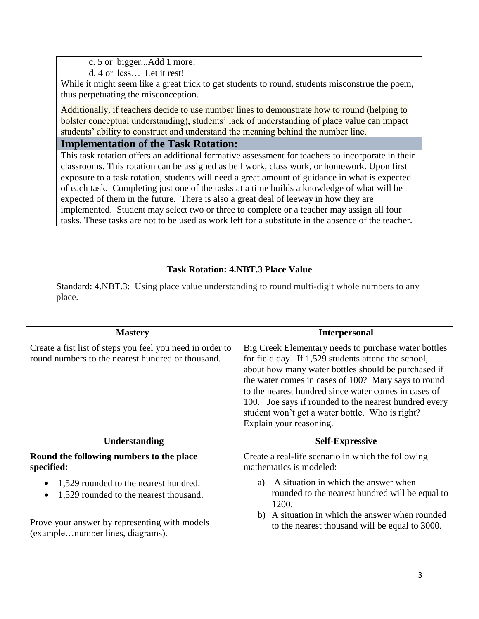c. 5 or bigger...Add 1 more!

d. 4 or less… Let it rest!

While it might seem like a great trick to get students to round, students misconstrue the poem, thus perpetuating the misconception.

Additionally, if teachers decide to use number lines to demonstrate how to round (helping to bolster conceptual understanding), students' lack of understanding of place value can impact students' ability to construct and understand the meaning behind the number line.

# **Implementation of the Task Rotation:**

This task rotation offers an additional formative assessment for teachers to incorporate in their classrooms. This rotation can be assigned as bell work, class work, or homework. Upon first exposure to a task rotation, students will need a great amount of guidance in what is expected of each task. Completing just one of the tasks at a time builds a knowledge of what will be expected of them in the future. There is also a great deal of leeway in how they are implemented. Student may select two or three to complete or a teacher may assign all four tasks. These tasks are not to be used as work left for a substitute in the absence of the teacher.

# **Task Rotation: 4.NBT.3 Place Value**

Standard: 4.NBT.3: Using place value understanding to round multi-digit whole numbers to any place.

| <b>Mastery</b>                                                                                                 | <b>Interpersonal</b>                                                                                                                                                                                                                                                                                                                                                                                                     |
|----------------------------------------------------------------------------------------------------------------|--------------------------------------------------------------------------------------------------------------------------------------------------------------------------------------------------------------------------------------------------------------------------------------------------------------------------------------------------------------------------------------------------------------------------|
| Create a fist list of steps you feel you need in order to<br>round numbers to the nearest hundred or thousand. | Big Creek Elementary needs to purchase water bottles<br>for field day. If 1,529 students attend the school,<br>about how many water bottles should be purchased if<br>the water comes in cases of 100? Mary says to round<br>to the nearest hundred since water comes in cases of<br>100. Joe says if rounded to the nearest hundred every<br>student won't get a water bottle. Who is right?<br>Explain your reasoning. |
| Understanding                                                                                                  | <b>Self-Expressive</b>                                                                                                                                                                                                                                                                                                                                                                                                   |
| Round the following numbers to the place<br>specified:                                                         | Create a real-life scenario in which the following<br>mathematics is modeled:                                                                                                                                                                                                                                                                                                                                            |
| 1,529 rounded to the nearest hundred.<br>1,529 rounded to the nearest thousand.                                | A situation in which the answer when<br>a)<br>rounded to the nearest hundred will be equal to<br>1200.                                                                                                                                                                                                                                                                                                                   |
| Prove your answer by representing with models<br>(examplenumber lines, diagrams).                              | b) A situation in which the answer when rounded<br>to the nearest thousand will be equal to 3000.                                                                                                                                                                                                                                                                                                                        |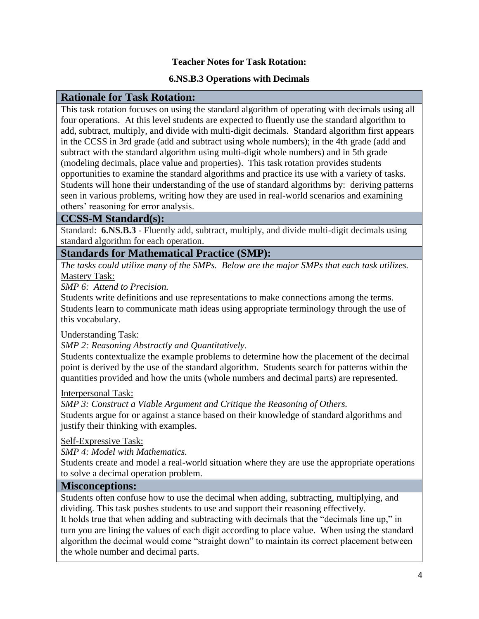#### **Teacher Notes for Task Rotation:**

#### **6.NS.B.3 Operations with Decimals**

#### **Rationale for Task Rotation:**

This task rotation focuses on using the standard algorithm of operating with decimals using all four operations. At this level students are expected to fluently use the standard algorithm to add, subtract, multiply, and divide with multi-digit decimals. Standard algorithm first appears in the CCSS in 3rd grade (add and subtract using whole numbers); in the 4th grade (add and subtract with the standard algorithm using multi-digit whole numbers) and in 5th grade (modeling decimals, place value and properties). This task rotation provides students opportunities to examine the standard algorithms and practice its use with a variety of tasks. Students will hone their understanding of the use of standard algorithms by: deriving patterns seen in various problems, writing how they are used in real-world scenarios and examining others' reasoning for error analysis.

#### **CCSS-M Standard(s):**

Standard: **6.NS.B.3** - Fluently add, subtract, multiply, and divide multi-digit decimals using standard algorithm for each operation.

#### **Standards for Mathematical Practice (SMP):**

*The tasks could utilize many of the SMPs. Below are the major SMPs that each task utilizes.* Mastery Task:

*SMP 6: Attend to Precision.* 

Students write definitions and use representations to make connections among the terms. Students learn to communicate math ideas using appropriate terminology through the use of this vocabulary.

Understanding Task:

*SMP 2: Reasoning Abstractly and Quantitatively.* 

Students contextualize the example problems to determine how the placement of the decimal point is derived by the use of the standard algorithm. Students search for patterns within the quantities provided and how the units (whole numbers and decimal parts) are represented.

#### Interpersonal Task:

*SMP 3: Construct a Viable Argument and Critique the Reasoning of Others.* Students argue for or against a stance based on their knowledge of standard algorithms and justify their thinking with examples.

Self-Expressive Task:

*SMP 4: Model with Mathematics.* 

Students create and model a real-world situation where they are use the appropriate operations to solve a decimal operation problem.

#### **Misconceptions:**

Students often confuse how to use the decimal when adding, subtracting, multiplying, and dividing. This task pushes students to use and support their reasoning effectively.

It holds true that when adding and subtracting with decimals that the "decimals line up," in turn you are lining the values of each digit according to place value. When using the standard algorithm the decimal would come "straight down" to maintain its correct placement between the whole number and decimal parts.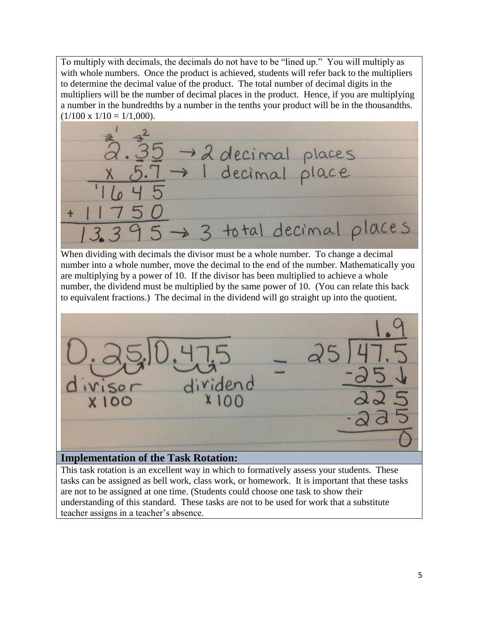To multiply with decimals, the decimals do not have to be "lined up." You will multiply as with whole numbers. Once the product is achieved, students will refer back to the multipliers to determine the decimal value of the product. The total number of decimal digits in the multipliers will be the number of decimal places in the product. Hence, if you are multiplying a number in the hundredths by a number in the tenths your product will be in the thousandths.  $(1/100 \times 1/10 = 1/1,000)$ .



When dividing with decimals the divisor must be a whole number. To change a decimal number into a whole number, move the decimal to the end of the number. Mathematically you are multiplying by a power of 10. If the divisor has been multiplied to achieve a whole number, the dividend must be multiplied by the same power of 10. (You can relate this back to equivalent fractions.) The decimal in the dividend will go straight up into the quotient.



# **Implementation of the Task Rotation:**

This task rotation is an excellent way in which to formatively assess your students. These tasks can be assigned as bell work, class work, or homework. It is important that these tasks are not to be assigned at one time. (Students could choose one task to show their understanding of this standard. These tasks are not to be used for work that a substitute teacher assigns in a teacher's absence.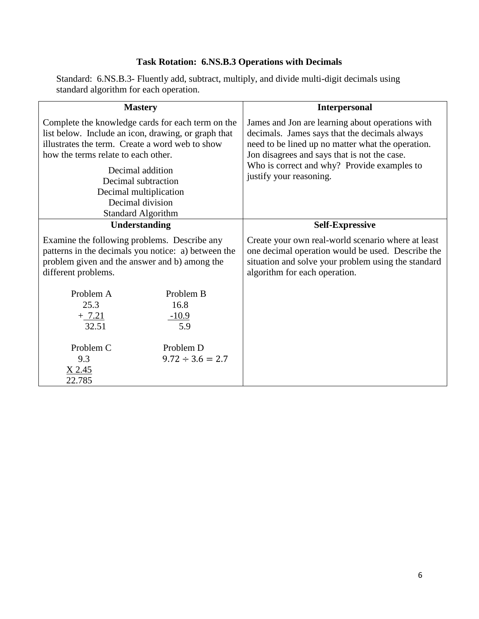# **Task Rotation: 6.NS.B.3 Operations with Decimals**

Standard: 6.NS.B.3- Fluently add, subtract, multiply, and divide multi-digit decimals using standard algorithm for each operation.

| <b>Mastery</b>                                                                                                                                                                                     |                       | <b>Interpersonal</b>                                                                                                                                                                                                                                  |  |
|----------------------------------------------------------------------------------------------------------------------------------------------------------------------------------------------------|-----------------------|-------------------------------------------------------------------------------------------------------------------------------------------------------------------------------------------------------------------------------------------------------|--|
| Complete the knowledge cards for each term on the<br>list below. Include an icon, drawing, or graph that<br>illustrates the term. Create a word web to show<br>how the terms relate to each other. |                       | James and Jon are learning about operations with<br>decimals. James says that the decimals always<br>need to be lined up no matter what the operation.<br>Jon disagrees and says that is not the case.<br>Who is correct and why? Provide examples to |  |
| Decimal addition<br>Decimal subtraction                                                                                                                                                            |                       | justify your reasoning.                                                                                                                                                                                                                               |  |
| Decimal multiplication                                                                                                                                                                             |                       |                                                                                                                                                                                                                                                       |  |
| Decimal division                                                                                                                                                                                   |                       |                                                                                                                                                                                                                                                       |  |
| <b>Standard Algorithm</b>                                                                                                                                                                          |                       |                                                                                                                                                                                                                                                       |  |
| Understanding                                                                                                                                                                                      |                       | <b>Self-Expressive</b>                                                                                                                                                                                                                                |  |
| Examine the following problems. Describe any<br>patterns in the decimals you notice: a) between the<br>problem given and the answer and b) among the<br>different problems.                        |                       | Create your own real-world scenario where at least<br>one decimal operation would be used. Describe the<br>situation and solve your problem using the standard<br>algorithm for each operation.                                                       |  |
| Problem A                                                                                                                                                                                          | Problem B             |                                                                                                                                                                                                                                                       |  |
| 25.3                                                                                                                                                                                               | 16.8                  |                                                                                                                                                                                                                                                       |  |
| $+ 7.21$<br>32.51                                                                                                                                                                                  | $-10.9$<br>5.9        |                                                                                                                                                                                                                                                       |  |
|                                                                                                                                                                                                    |                       |                                                                                                                                                                                                                                                       |  |
| Problem C                                                                                                                                                                                          | Problem D             |                                                                                                                                                                                                                                                       |  |
| 9.3                                                                                                                                                                                                | $9.72 \div 3.6 = 2.7$ |                                                                                                                                                                                                                                                       |  |
| X 2.45                                                                                                                                                                                             |                       |                                                                                                                                                                                                                                                       |  |
| 22.785                                                                                                                                                                                             |                       |                                                                                                                                                                                                                                                       |  |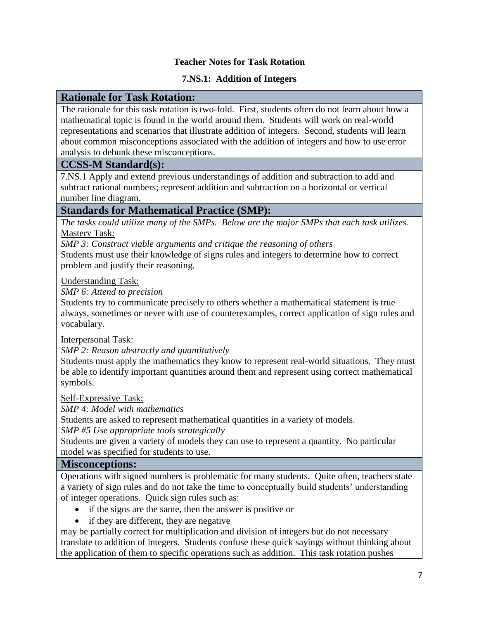#### **Teacher Notes for Task Rotation**

#### **7.NS.1: Addition of Integers**

#### **Rationale for Task Rotation:**

The rationale for this task rotation is two-fold. First, students often do not learn about how a mathematical topic is found in the world around them. Students will work on real-world representations and scenarios that illustrate addition of integers. Second, students will learn about common misconceptions associated with the addition of integers and how to use error analysis to debunk these misconceptions.

#### **CCSS-M Standard(s):**

7.NS.1 Apply and extend previous understandings of addition and subtraction to add and subtract rational numbers; represent addition and subtraction on a horizontal or vertical number line diagram.

# **Standards for Mathematical Practice (SMP):**

*The tasks could utilize many of the SMPs. Below are the major SMPs that each task utilizes.* Mastery Task:

*SMP 3: Construct viable arguments and critique the reasoning of others* 

Students must use their knowledge of signs rules and integers to determine how to correct problem and justify their reasoning.

Understanding Task:

*SMP 6: Attend to precision*

Students try to communicate precisely to others whether a mathematical statement is true always, sometimes or never with use of counterexamples, correct application of sign rules and vocabulary.

Interpersonal Task:

*SMP 2: Reason abstractly and quantitatively*

Students must apply the mathematics they know to represent real-world situations. They must be able to identify important quantities around them and represent using correct mathematical symbols.

Self-Expressive Task:

*SMP 4: Model with mathematics*

Students are asked to represent mathematical quantities in a variety of models.

*SMP #5 Use appropriate tools strategically*

Students are given a variety of models they can use to represent a quantity. No particular model was specified for students to use.

#### **Misconceptions:**

Operations with signed numbers is problematic for many students. Quite often, teachers state a variety of sign rules and do not take the time to conceptually build students' understanding of integer operations. Quick sign rules such as:

- if the signs are the same, then the answer is positive or
- if they are different, they are negative

may be partially correct for multiplication and division of integers but do not necessary translate to addition of integers. Students confuse these quick sayings without thinking about the application of them to specific operations such as addition. This task rotation pushes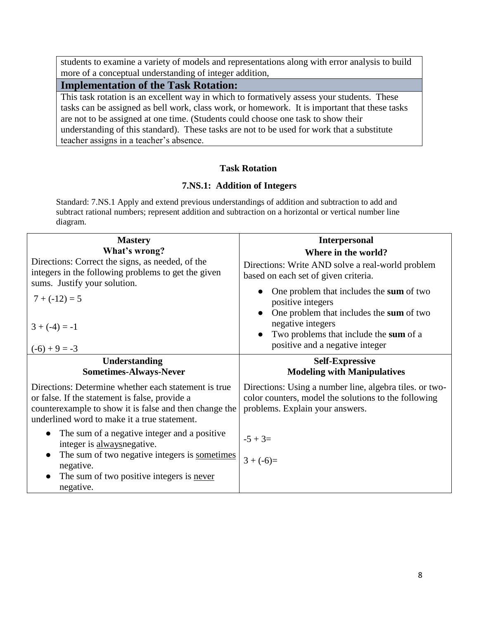students to examine a variety of models and representations along with error analysis to build more of a conceptual understanding of integer addition,

# **Implementation of the Task Rotation:**

This task rotation is an excellent way in which to formatively assess your students. These tasks can be assigned as bell work, class work, or homework. It is important that these tasks are not to be assigned at one time. (Students could choose one task to show their understanding of this standard). These tasks are not to be used for work that a substitute teacher assigns in a teacher's absence.

#### **Task Rotation**

#### **7.NS.1: Addition of Integers**

Standard: 7.NS.1 Apply and extend previous understandings of addition and subtraction to add and subtract rational numbers; represent addition and subtraction on a horizontal or vertical number line diagram.

| <b>Mastery</b>                                                                                                                                                                                                   | <b>Interpersonal</b>                                                                                                                               |
|------------------------------------------------------------------------------------------------------------------------------------------------------------------------------------------------------------------|----------------------------------------------------------------------------------------------------------------------------------------------------|
| What's wrong?<br>Directions: Correct the signs, as needed, of the                                                                                                                                                | Where in the world?                                                                                                                                |
| integers in the following problems to get the given<br>sums. Justify your solution.                                                                                                                              | Directions: Write AND solve a real-world problem<br>based on each set of given criteria.                                                           |
| $7 + (-12) = 5$                                                                                                                                                                                                  | One problem that includes the sum of two<br>positive integers                                                                                      |
| $3 + (-4) = -1$<br>$(-6) + 9 = -3$                                                                                                                                                                               | One problem that includes the sum of two<br>negative integers<br>Two problems that include the sum of a<br>positive and a negative integer         |
| <b>Understanding</b><br><b>Sometimes-Always-Never</b>                                                                                                                                                            | <b>Self-Expressive</b><br><b>Modeling with Manipulatives</b>                                                                                       |
| Directions: Determine whether each statement is true<br>or false. If the statement is false, provide a<br>counterexample to show it is false and then change the<br>underlined word to make it a true statement. | Directions: Using a number line, algebra tiles. or two-<br>color counters, model the solutions to the following<br>problems. Explain your answers. |
| The sum of a negative integer and a positive<br>integer is always negative.                                                                                                                                      | $-5 + 3=$                                                                                                                                          |
| The sum of two negative integers is sometimes<br>negative.                                                                                                                                                       | $3 + (-6) =$                                                                                                                                       |
| The sum of two positive integers is never<br>negative.                                                                                                                                                           |                                                                                                                                                    |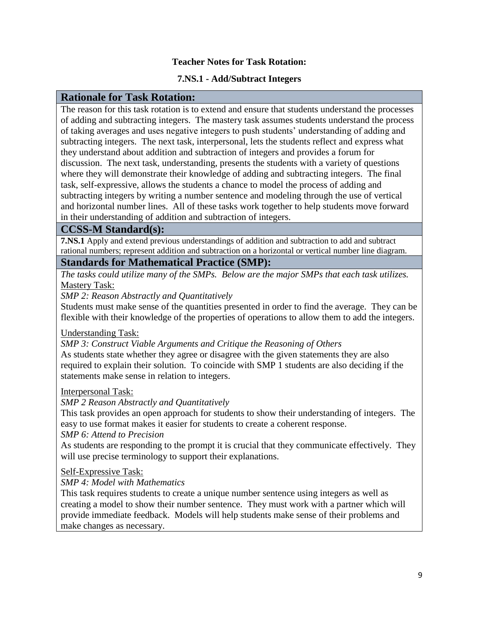#### **Teacher Notes for Task Rotation:**

#### **7.NS.1 - Add/Subtract Integers**

#### **Rationale for Task Rotation:**

The reason for this task rotation is to extend and ensure that students understand the processes of adding and subtracting integers. The mastery task assumes students understand the process of taking averages and uses negative integers to push students' understanding of adding and subtracting integers. The next task, interpersonal, lets the students reflect and express what they understand about addition and subtraction of integers and provides a forum for discussion. The next task, understanding, presents the students with a variety of questions where they will demonstrate their knowledge of adding and subtracting integers. The final task, self-expressive, allows the students a chance to model the process of adding and subtracting integers by writing a number sentence and modeling through the use of vertical and horizontal number lines. All of these tasks work together to help students move forward in their understanding of addition and subtraction of integers.

#### **CCSS-M Standard(s):**

**7.NS.1** Apply and extend previous understandings of addition and subtraction to add and subtract rational numbers; represent addition and subtraction on a horizontal or vertical number line diagram.

#### **Standards for Mathematical Practice (SMP):**

*The tasks could utilize many of the SMPs. Below are the major SMPs that each task utilizes.* Mastery Task:

*SMP 2: Reason Abstractly and Quantitatively*

Students must make sense of the quantities presented in order to find the average. They can be flexible with their knowledge of the properties of operations to allow them to add the integers.

Understanding Task:

*SMP 3: Construct Viable Arguments and Critique the Reasoning of Others* As students state whether they agree or disagree with the given statements they are also required to explain their solution. To coincide with SMP 1 students are also deciding if the statements make sense in relation to integers.

#### Interpersonal Task:

*SMP 2 Reason Abstractly and Quantitatively*

This task provides an open approach for students to show their understanding of integers. The easy to use format makes it easier for students to create a coherent response.

*SMP 6: Attend to Precision*

As students are responding to the prompt it is crucial that they communicate effectively. They will use precise terminology to support their explanations.

Self-Expressive Task:

*SMP 4: Model with Mathematics*

This task requires students to create a unique number sentence using integers as well as creating a model to show their number sentence. They must work with a partner which will provide immediate feedback. Models will help students make sense of their problems and make changes as necessary.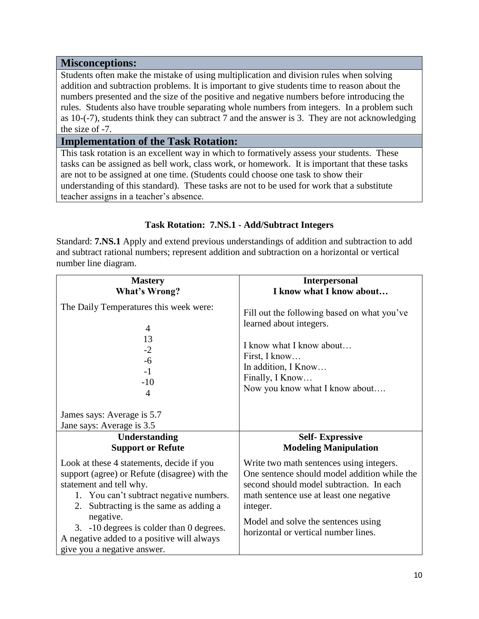#### **Misconceptions:**

Students often make the mistake of using multiplication and division rules when solving addition and subtraction problems. It is important to give students time to reason about the numbers presented and the size of the positive and negative numbers before introducing the rules. Students also have trouble separating whole numbers from integers. In a problem such as 10-(-7), students think they can subtract 7 and the answer is 3. They are not acknowledging the size of -7.

#### **Implementation of the Task Rotation:**

This task rotation is an excellent way in which to formatively assess your students. These tasks can be assigned as bell work, class work, or homework. It is important that these tasks are not to be assigned at one time. (Students could choose one task to show their understanding of this standard). These tasks are not to be used for work that a substitute teacher assigns in a teacher's absence.

#### **Task Rotation: 7.NS.1 - Add/Subtract Integers**

Standard: **7.NS.1** Apply and extend previous understandings of addition and subtraction to add and subtract rational numbers; represent addition and subtraction on a horizontal or vertical number line diagram.

| <b>Mastery</b>                                                                                                                                                                                                          | <b>Interpersonal</b>                                                                                                                                                                                                               |
|-------------------------------------------------------------------------------------------------------------------------------------------------------------------------------------------------------------------------|------------------------------------------------------------------------------------------------------------------------------------------------------------------------------------------------------------------------------------|
| <b>What's Wrong?</b>                                                                                                                                                                                                    | I know what I know about                                                                                                                                                                                                           |
| The Daily Temperatures this week were:<br>4<br>13<br>$-2$<br>$-6$<br>$-1$<br>$-10$<br>4                                                                                                                                 | Fill out the following based on what you've<br>learned about integers.<br>I know what I know about<br>First, I know<br>In addition, I Know<br>Finally, I Know<br>Now you know what I know about                                    |
| James says: Average is 5.7<br>Jane says: Average is 3.5                                                                                                                                                                 |                                                                                                                                                                                                                                    |
| Understanding                                                                                                                                                                                                           | <b>Self-Expressive</b>                                                                                                                                                                                                             |
| <b>Support or Refute</b>                                                                                                                                                                                                | <b>Modeling Manipulation</b>                                                                                                                                                                                                       |
|                                                                                                                                                                                                                         |                                                                                                                                                                                                                                    |
| Look at these 4 statements, decide if you<br>support (agree) or Refute (disagree) with the<br>statement and tell why.<br>1. You can't subtract negative numbers.<br>2. Subtracting is the same as adding a<br>negative. | Write two math sentences using integers.<br>One sentence should model addition while the<br>second should model subtraction. In each<br>math sentence use at least one negative<br>integer.<br>Model and solve the sentences using |
| 3. -10 degrees is colder than 0 degrees.<br>A negative added to a positive will always<br>give you a negative answer.                                                                                                   | horizontal or vertical number lines.                                                                                                                                                                                               |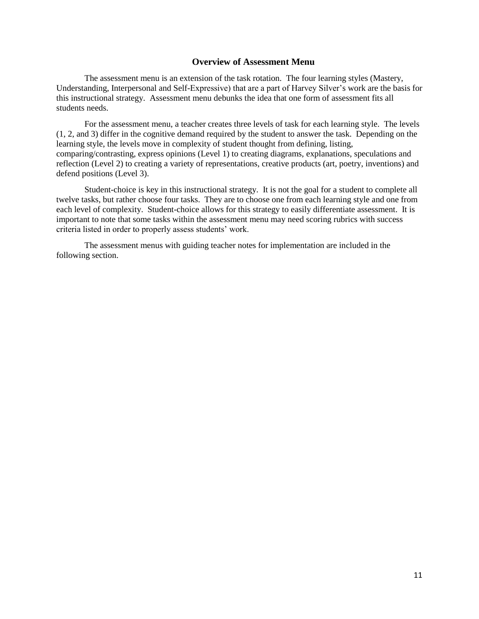#### **Overview of Assessment Menu**

The assessment menu is an extension of the task rotation. The four learning styles (Mastery, Understanding, Interpersonal and Self-Expressive) that are a part of Harvey Silver's work are the basis for this instructional strategy. Assessment menu debunks the idea that one form of assessment fits all students needs.

For the assessment menu, a teacher creates three levels of task for each learning style. The levels (1, 2, and 3) differ in the cognitive demand required by the student to answer the task. Depending on the learning style, the levels move in complexity of student thought from defining, listing, comparing/contrasting, express opinions (Level 1) to creating diagrams, explanations, speculations and reflection (Level 2) to creating a variety of representations, creative products (art, poetry, inventions) and defend positions (Level 3).

Student-choice is key in this instructional strategy. It is not the goal for a student to complete all twelve tasks, but rather choose four tasks. They are to choose one from each learning style and one from each level of complexity. Student-choice allows for this strategy to easily differentiate assessment. It is important to note that some tasks within the assessment menu may need scoring rubrics with success criteria listed in order to properly assess students' work.

The assessment menus with guiding teacher notes for implementation are included in the following section.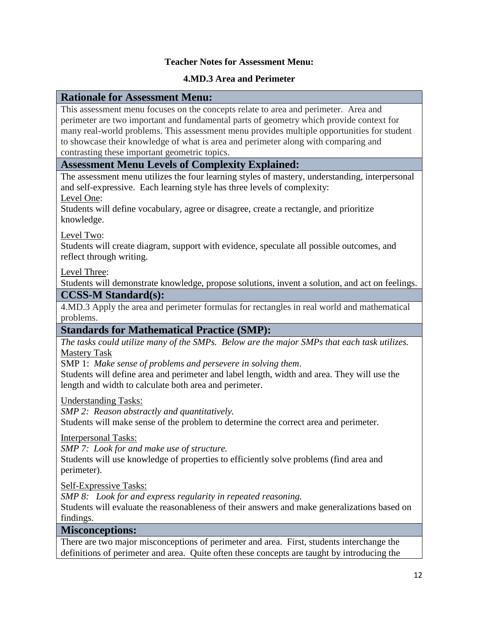#### **Teacher Notes for Assessment Menu:**

#### **4.MD.3 Area and Perimeter**

#### **Rationale for Assessment Menu:**

This assessment menu focuses on the concepts relate to area and perimeter. Area and perimeter are two important and fundamental parts of geometry which provide context for many real-world problems. This assessment menu provides multiple opportunities for student to showcase their knowledge of what is area and perimeter along with comparing and contrasting these important geometric topics.

#### **Assessment Menu Levels of Complexity Explained:**

The assessment menu utilizes the four learning styles of mastery, understanding, interpersonal and self-expressive. Each learning style has three levels of complexity: Level One:

Students will define vocabulary, agree or disagree, create a rectangle, and prioritize knowledge.

Level Two:

Students will create diagram, support with evidence, speculate all possible outcomes, and reflect through writing.

Level Three:

Students will demonstrate knowledge, propose solutions, invent a solution, and act on feelings.

#### **CCSS-M Standard(s):**

4.MD.3 Apply the area and perimeter formulas for rectangles in real world and mathematical problems.

# **Standards for Mathematical Practice (SMP):**

*The tasks could utilize many of the SMPs. Below are the major SMPs that each task utilizes.* Mastery Task

SMP 1: *Make sense of problems and persevere in solving them*.

Students will define area and perimeter and label length, width and area. They will use the length and width to calculate both area and perimeter.

Understanding Tasks:

*SMP 2: Reason abstractly and quantitatively.* 

Students will make sense of the problem to determine the correct area and perimeter.

Interpersonal Tasks:

*SMP 7: Look for and make use of structure.* 

Students will use knowledge of properties to efficiently solve problems (find area and perimeter).

Self-Expressive Tasks:

*SMP 8: Look for and express regularity in repeated reasoning.* 

Students will evaluate the reasonableness of their answers and make generalizations based on findings.

#### **Misconceptions:**

There are two major misconceptions of perimeter and area. First, students interchange the definitions of perimeter and area. Quite often these concepts are taught by introducing the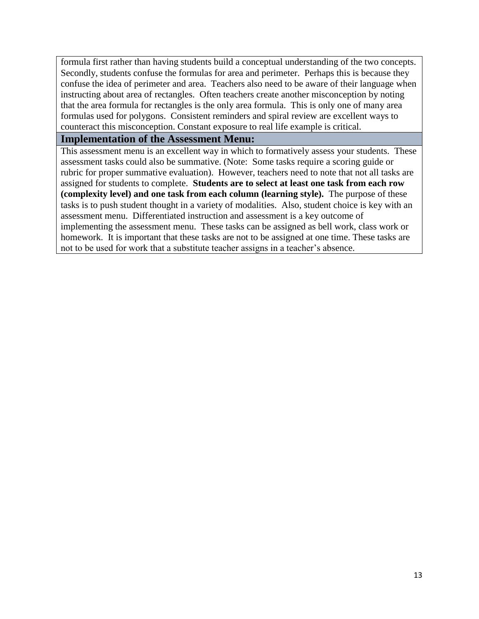formula first rather than having students build a conceptual understanding of the two concepts. Secondly, students confuse the formulas for area and perimeter. Perhaps this is because they confuse the idea of perimeter and area. Teachers also need to be aware of their language when instructing about area of rectangles. Often teachers create another misconception by noting that the area formula for rectangles is the only area formula. This is only one of many area formulas used for polygons. Consistent reminders and spiral review are excellent ways to counteract this misconception. Constant exposure to real life example is critical.

#### **Implementation of the Assessment Menu:**

This assessment menu is an excellent way in which to formatively assess your students. These assessment tasks could also be summative. (Note: Some tasks require a scoring guide or rubric for proper summative evaluation). However, teachers need to note that not all tasks are assigned for students to complete. **Students are to select at least one task from each row (complexity level) and one task from each column (learning style).** The purpose of these tasks is to push student thought in a variety of modalities. Also, student choice is key with an assessment menu. Differentiated instruction and assessment is a key outcome of implementing the assessment menu. These tasks can be assigned as bell work, class work or homework. It is important that these tasks are not to be assigned at one time. These tasks are not to be used for work that a substitute teacher assigns in a teacher's absence.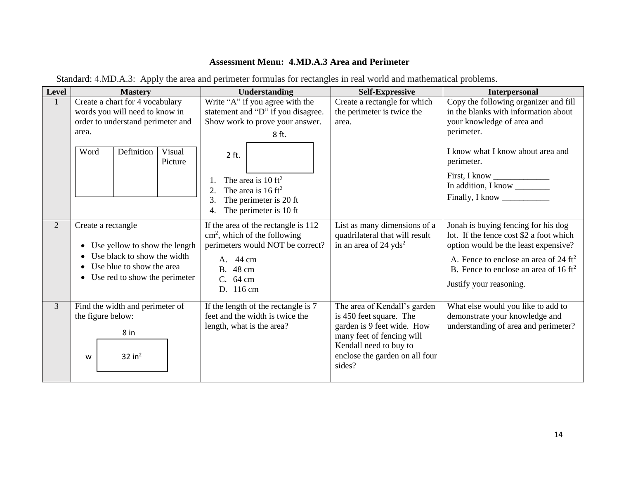# **Assessment Menu: 4.MD.A.3 Area and Perimeter**

| Standard: 4.MD.A.3: Apply the area and perimeter formulas for rectangles in real world and mathematical problems. |  |
|-------------------------------------------------------------------------------------------------------------------|--|
|-------------------------------------------------------------------------------------------------------------------|--|

| Level        | <b>Mastery</b>                                                                                                                                                | Understanding                                                                                                                                                                                                                                                        | <b>Self-Expressive</b>                                                                                                                                                                   | Interpersonal                                                                                                                                                                                                                                            |
|--------------|---------------------------------------------------------------------------------------------------------------------------------------------------------------|----------------------------------------------------------------------------------------------------------------------------------------------------------------------------------------------------------------------------------------------------------------------|------------------------------------------------------------------------------------------------------------------------------------------------------------------------------------------|----------------------------------------------------------------------------------------------------------------------------------------------------------------------------------------------------------------------------------------------------------|
| $\mathbf{1}$ | Create a chart for 4 vocabulary<br>words you will need to know in<br>order to understand perimeter and<br>area.<br>Definition<br>Visual<br>Word<br>Picture    | Write "A" if you agree with the<br>statement and "D" if you disagree.<br>Show work to prove your answer.<br>8 ft.<br>$2$ ft.<br>The area is $10 \text{ ft}^2$<br>The area is $16 \text{ ft}^2$<br>2.<br>3.<br>The perimeter is 20 ft<br>The perimeter is 10 ft<br>4. | Create a rectangle for which<br>the perimeter is twice the<br>area.                                                                                                                      | Copy the following organizer and fill<br>in the blanks with information about<br>your knowledge of area and<br>perimeter.<br>I know what I know about area and<br>perimeter.<br>First, I know<br>In addition, I know<br>Finally, I know                  |
| 2            | Create a rectangle<br>Use yellow to show the length<br>Use black to show the width<br>Use blue to show the area<br>Use red to show the perimeter<br>$\bullet$ | If the area of the rectangle is 112<br>cm <sup>2</sup> , which of the following<br>perimeters would NOT be correct?<br>A. 44 cm<br>B. 48 cm<br>C. 64 cm<br>D. 116 cm                                                                                                 | List as many dimensions of a<br>quadrilateral that will result<br>in an area of $24 \text{ yds}^2$                                                                                       | Jonah is buying fencing for his dog<br>lot. If the fence cost \$2 a foot which<br>option would be the least expensive?<br>A. Fence to enclose an area of 24 $\text{ft}^2$<br>B. Fence to enclose an area of $16 \text{ ft}^2$<br>Justify your reasoning. |
| 3            | Find the width and perimeter of<br>the figure below:<br>8 in<br>$32$ in <sup>2</sup><br>W                                                                     | If the length of the rectangle is 7<br>feet and the width is twice the<br>length, what is the area?                                                                                                                                                                  | The area of Kendall's garden<br>is 450 feet square. The<br>garden is 9 feet wide. How<br>many feet of fencing will<br>Kendall need to buy to<br>enclose the garden on all four<br>sides? | What else would you like to add to<br>demonstrate your knowledge and<br>understanding of area and perimeter?                                                                                                                                             |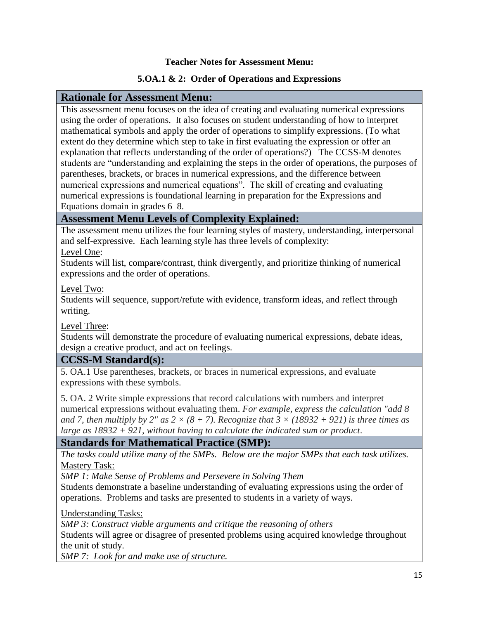#### **Teacher Notes for Assessment Menu:**

#### **5.OA.1 & 2: Order of Operations and Expressions**

#### **Rationale for Assessment Menu:**

This assessment menu focuses on the idea of creating and evaluating numerical expressions using the order of operations. It also focuses on student understanding of how to interpret mathematical symbols and apply the order of operations to simplify expressions. (To what extent do they determine which step to take in first evaluating the expression or offer an explanation that reflects understanding of the order of operations?) The CCSS-M denotes students are "understanding and explaining the steps in the order of operations, the purposes of parentheses, brackets, or braces in numerical expressions, and the difference between numerical expressions and numerical equations". The skill of creating and evaluating numerical expressions is foundational learning in preparation for the Expressions and Equations domain in grades 6–8.

# **Assessment Menu Levels of Complexity Explained:**

The assessment menu utilizes the four learning styles of mastery, understanding, interpersonal and self-expressive. Each learning style has three levels of complexity:

Level One:

Students will list, compare/contrast, think divergently, and prioritize thinking of numerical expressions and the order of operations.

Level Two:

Students will sequence, support/refute with evidence, transform ideas, and reflect through writing.

Level Three:

Students will demonstrate the procedure of evaluating numerical expressions, debate ideas, design a creative product, and act on feelings.

# **CCSS-M Standard(s):**

5. OA.1 Use parentheses, brackets, or braces in numerical expressions, and evaluate expressions with these symbols.

5. OA. 2 Write simple expressions that record calculations with numbers and interpret numerical expressions without evaluating them. *For example, express the calculation "add 8 and 7, then multiply by 2" as 2*  $\times$  *(8 + 7). Recognize that 3*  $\times$  *(18932 + 921) is three times as large as 18932 + 921, without having to calculate the indicated sum or product*.

# **Standards for Mathematical Practice (SMP):**

*The tasks could utilize many of the SMPs. Below are the major SMPs that each task utilizes.* Mastery Task:

*SMP 1: Make Sense of Problems and Persevere in Solving Them*

Students demonstrate a baseline understanding of evaluating expressions using the order of operations. Problems and tasks are presented to students in a variety of ways.

Understanding Tasks:

*SMP 3: Construct viable arguments and critique the reasoning of others*

Students will agree or disagree of presented problems using acquired knowledge throughout the unit of study.

*SMP 7: Look for and make use of structure.*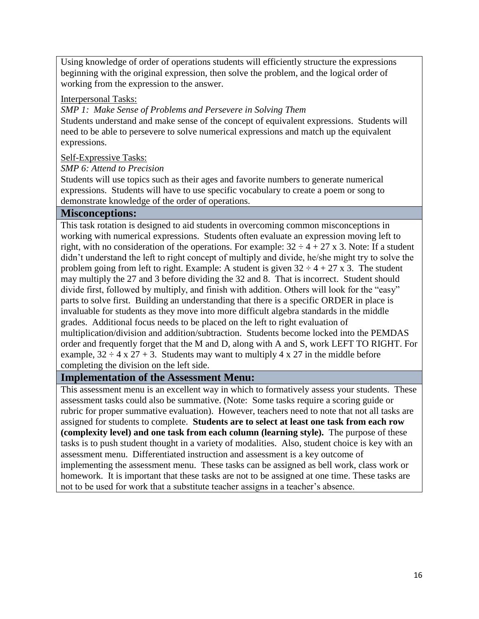Using knowledge of order of operations students will efficiently structure the expressions beginning with the original expression, then solve the problem, and the logical order of working from the expression to the answer.

#### Interpersonal Tasks:

*SMP 1: Make Sense of Problems and Persevere in Solving Them*

Students understand and make sense of the concept of equivalent expressions. Students will need to be able to persevere to solve numerical expressions and match up the equivalent expressions.

#### Self-Expressive Tasks:

#### *SMP 6: Attend to Precision*

Students will use topics such as their ages and favorite numbers to generate numerical expressions. Students will have to use specific vocabulary to create a poem or song to demonstrate knowledge of the order of operations.

#### **Misconceptions:**

This task rotation is designed to aid students in overcoming common misconceptions in working with numerical expressions. Students often evaluate an expression moving left to right, with no consideration of the operations. For example:  $32 \div 4 + 27 \times 3$ . Note: If a student didn't understand the left to right concept of multiply and divide, he/she might try to solve the problem going from left to right. Example: A student is given  $32 \div 4 + 27 \times 3$ . The student may multiply the 27 and 3 before dividing the 32 and 8. That is incorrect. Student should divide first, followed by multiply, and finish with addition. Others will look for the "easy" parts to solve first. Building an understanding that there is a specific ORDER in place is invaluable for students as they move into more difficult algebra standards in the middle grades. Additional focus needs to be placed on the left to right evaluation of multiplication/division and addition/subtraction. Students become locked into the PEMDAS order and frequently forget that the M and D, along with A and S, work LEFT TO RIGHT. For example,  $32 \div 4 \times 27 + 3$ . Students may want to multiply 4 x 27 in the middle before completing the division on the left side.

# **Implementation of the Assessment Menu:**

This assessment menu is an excellent way in which to formatively assess your students. These assessment tasks could also be summative. (Note: Some tasks require a scoring guide or rubric for proper summative evaluation). However, teachers need to note that not all tasks are assigned for students to complete. **Students are to select at least one task from each row (complexity level) and one task from each column (learning style).** The purpose of these tasks is to push student thought in a variety of modalities. Also, student choice is key with an assessment menu. Differentiated instruction and assessment is a key outcome of implementing the assessment menu. These tasks can be assigned as bell work, class work or homework. It is important that these tasks are not to be assigned at one time. These tasks are not to be used for work that a substitute teacher assigns in a teacher's absence.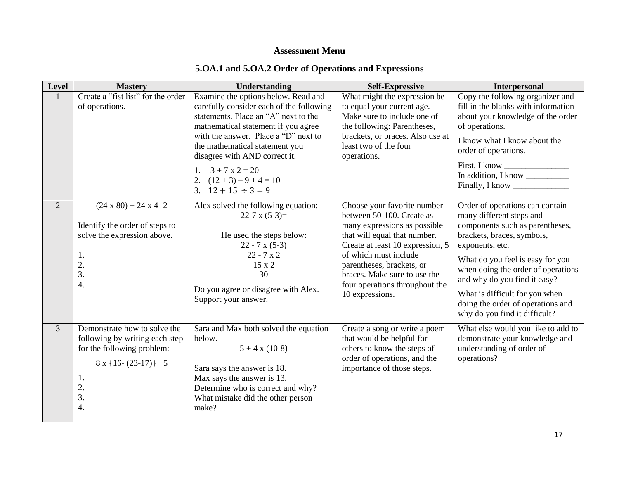# **Assessment Menu**

# **5.OA.1 and 5.OA.2 Order of Operations and Expressions**

| Level          | <b>Mastery</b>                                                                                                                                        | <b>Understanding</b>                                                                                                                                                                                                                                                                                                                                    | <b>Self-Expressive</b>                                                                                                                                                                                                                                                                                  | <b>Interpersonal</b>                                                                                                                                                                                                                                                                                                                                              |
|----------------|-------------------------------------------------------------------------------------------------------------------------------------------------------|---------------------------------------------------------------------------------------------------------------------------------------------------------------------------------------------------------------------------------------------------------------------------------------------------------------------------------------------------------|---------------------------------------------------------------------------------------------------------------------------------------------------------------------------------------------------------------------------------------------------------------------------------------------------------|-------------------------------------------------------------------------------------------------------------------------------------------------------------------------------------------------------------------------------------------------------------------------------------------------------------------------------------------------------------------|
| $\mathbf{1}$   | Create a "fist list" for the order<br>of operations.                                                                                                  | Examine the options below. Read and<br>carefully consider each of the following<br>statements. Place an "A" next to the<br>mathematical statement if you agree<br>with the answer. Place a "D" next to<br>the mathematical statement you<br>disagree with AND correct it.<br>1. $3 + 7x2 = 20$<br>2. $(12 + 3) - 9 + 4 = 10$<br>3. $12 + 15 \div 3 = 9$ | What might the expression be<br>to equal your current age.<br>Make sure to include one of<br>the following: Parentheses,<br>brackets, or braces. Also use at<br>least two of the four<br>operations.                                                                                                    | Copy the following organizer and<br>fill in the blanks with information<br>about your knowledge of the order<br>of operations.<br>I know what I know about the<br>order of operations.<br>First, I know<br>In addition, I know<br>Finally, I know                                                                                                                 |
| $\overline{2}$ | $(24 \times 80) + 24 \times 4 - 2$<br>Identify the order of steps to<br>solve the expression above.<br>1.<br>2.<br>3.<br>$\overline{4}$ .             | Alex solved the following equation:<br>22-7 x $(5-3)=$<br>He used the steps below:<br>$22 - 7x(5-3)$<br>$22 - 7x2$<br>$15 \times 2$<br>30<br>Do you agree or disagree with Alex.<br>Support your answer.                                                                                                                                                | Choose your favorite number<br>between 50-100. Create as<br>many expressions as possible<br>that will equal that number.<br>Create at least 10 expression, 5<br>of which must include<br>parentheses, brackets, or<br>braces. Make sure to use the<br>four operations throughout the<br>10 expressions. | Order of operations can contain<br>many different steps and<br>components such as parentheses,<br>brackets, braces, symbols,<br>exponents, etc.<br>What do you feel is easy for you<br>when doing the order of operations<br>and why do you find it easy?<br>What is difficult for you when<br>doing the order of operations and<br>why do you find it difficult? |
| $\overline{3}$ | Demonstrate how to solve the<br>following by writing each step<br>for the following problem:<br>$8 \times \{16-(23-17)\} + 5$<br>1.<br>2.<br>3.<br>4. | Sara and Max both solved the equation<br>below.<br>$5 + 4 \times (10-8)$<br>Sara says the answer is 18.<br>Max says the answer is 13.<br>Determine who is correct and why?<br>What mistake did the other person<br>make?                                                                                                                                | Create a song or write a poem<br>that would be helpful for<br>others to know the steps of<br>order of operations, and the<br>importance of those steps.                                                                                                                                                 | What else would you like to add to<br>demonstrate your knowledge and<br>understanding of order of<br>operations?                                                                                                                                                                                                                                                  |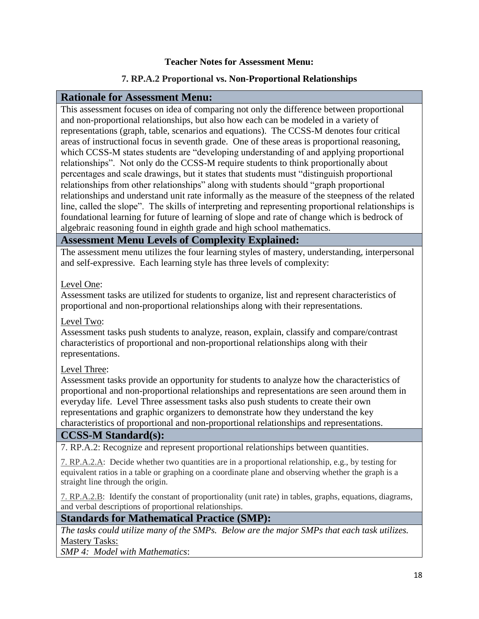#### **Teacher Notes for Assessment Menu:**

# **7. RP.A.2 Proportional vs. Non-Proportional Relationships**

#### **Rationale for Assessment Menu:**

This assessment focuses on idea of comparing not only the difference between proportional and non-proportional relationships, but also how each can be modeled in a variety of representations (graph, table, scenarios and equations). The CCSS-M denotes four critical areas of instructional focus in seventh grade. One of these areas is proportional reasoning, which CCSS-M states students are "developing understanding of and applying proportional relationships". Not only do the CCSS-M require students to think proportionally about percentages and scale drawings, but it states that students must "distinguish proportional relationships from other relationships" along with students should "graph proportional relationships and understand unit rate informally as the measure of the steepness of the related line, called the slope". The skills of interpreting and representing proportional relationships is foundational learning for future of learning of slope and rate of change which is bedrock of algebraic reasoning found in eighth grade and high school mathematics.

#### **Assessment Menu Levels of Complexity Explained:**

The assessment menu utilizes the four learning styles of mastery, understanding, interpersonal and self-expressive. Each learning style has three levels of complexity:

#### Level One:

Assessment tasks are utilized for students to organize, list and represent characteristics of proportional and non-proportional relationships along with their representations.

#### Level Two:

Assessment tasks push students to analyze, reason, explain, classify and compare/contrast characteristics of proportional and non-proportional relationships along with their representations.

#### Level Three:

Assessment tasks provide an opportunity for students to analyze how the characteristics of proportional and non-proportional relationships and representations are seen around them in everyday life. Level Three assessment tasks also push students to create their own representations and graphic organizers to demonstrate how they understand the key characteristics of proportional and non-proportional relationships and representations.

# **CCSS-M Standard(s):**

7. RP.A.2: Recognize and represent proportional relationships between quantities.

[7. RP.A.2.A:](http://www.corestandards.org/Math/Content/7/RP/A/2/a/) Decide whether two quantities are in a proportional relationship, e.g., by testing for equivalent ratios in a table or graphing on a coordinate plane and observing whether the graph is a straight line through the origin.

[7. RP.A.2.B:](http://www.corestandards.org/Math/Content/7/RP/A/2/b/) Identify the constant of proportionality (unit rate) in tables, graphs, equations, diagrams, and verbal descriptions of proportional relationships.

# **Standards for Mathematical Practice (SMP):**

*The tasks could utilize many of the SMPs. Below are the major SMPs that each task utilizes.* Mastery Tasks:

*SMP 4: Model with Mathematics*: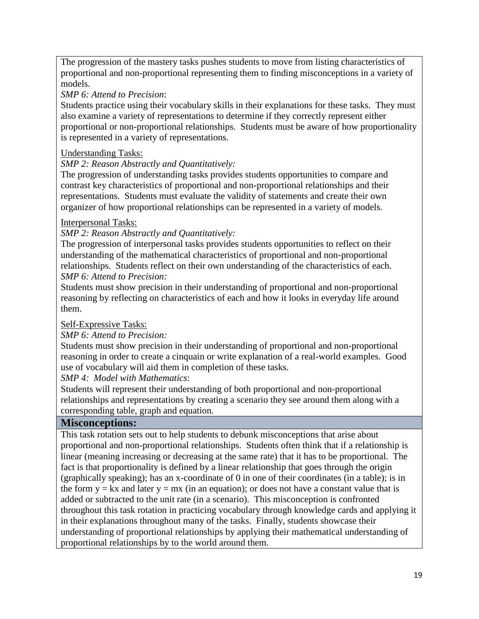The progression of the mastery tasks pushes students to move from listing characteristics of proportional and non-proportional representing them to finding misconceptions in a variety of models.

#### *SMP 6: Attend to Precision*:

Students practice using their vocabulary skills in their explanations for these tasks. They must also examine a variety of representations to determine if they correctly represent either proportional or non-proportional relationships. Students must be aware of how proportionality is represented in a variety of representations.

#### Understanding Tasks:

#### *SMP 2: Reason Abstractly and Quantitatively:*

The progression of understanding tasks provides students opportunities to compare and contrast key characteristics of proportional and non-proportional relationships and their representations. Students must evaluate the validity of statements and create their own organizer of how proportional relationships can be represented in a variety of models.

#### Interpersonal Tasks:

#### *SMP 2: Reason Abstractly and Quantitatively:*

The progression of interpersonal tasks provides students opportunities to reflect on their understanding of the mathematical characteristics of proportional and non-proportional relationships. Students reflect on their own understanding of the characteristics of each. *SMP 6: Attend to Precision:*

Students must show precision in their understanding of proportional and non-proportional reasoning by reflecting on characteristics of each and how it looks in everyday life around them.

#### Self-Expressive Tasks:

#### *SMP 6: Attend to Precision:*

Students must show precision in their understanding of proportional and non-proportional reasoning in order to create a cinquain or write explanation of a real-world examples. Good use of vocabulary will aid them in completion of these tasks.

*SMP 4: Model with Mathematics*:

Students will represent their understanding of both proportional and non-proportional relationships and representations by creating a scenario they see around them along with a corresponding table, graph and equation.

# **Misconceptions:**

This task rotation sets out to help students to debunk misconceptions that arise about proportional and non-proportional relationships. Students often think that if a relationship is linear (meaning increasing or decreasing at the same rate) that it has to be proportional. The fact is that proportionality is defined by a linear relationship that goes through the origin (graphically speaking); has an x-coordinate of 0 in one of their coordinates (in a table); is in the form  $y = kx$  and later  $y = mx$  (in an equation); or does not have a constant value that is added or subtracted to the unit rate (in a scenario). This misconception is confronted throughout this task rotation in practicing vocabulary through knowledge cards and applying it in their explanations throughout many of the tasks. Finally, students showcase their understanding of proportional relationships by applying their mathematical understanding of proportional relationships by to the world around them.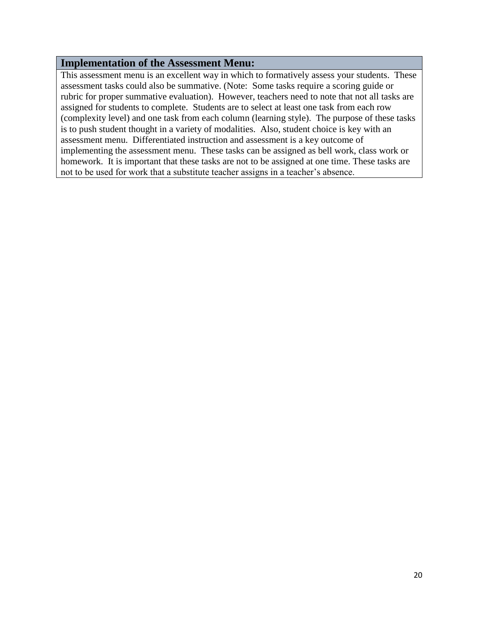#### **Implementation of the Assessment Menu:**

This assessment menu is an excellent way in which to formatively assess your students. These assessment tasks could also be summative. (Note: Some tasks require a scoring guide or rubric for proper summative evaluation). However, teachers need to note that not all tasks are assigned for students to complete. Students are to select at least one task from each row (complexity level) and one task from each column (learning style). The purpose of these tasks is to push student thought in a variety of modalities. Also, student choice is key with an assessment menu. Differentiated instruction and assessment is a key outcome of implementing the assessment menu. These tasks can be assigned as bell work, class work or homework. It is important that these tasks are not to be assigned at one time. These tasks are not to be used for work that a substitute teacher assigns in a teacher's absence.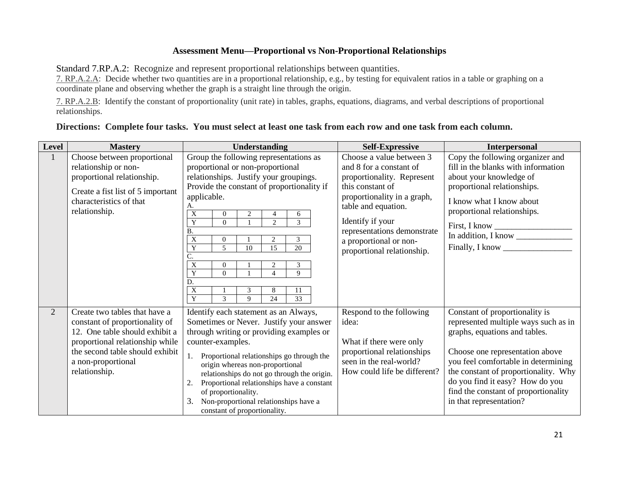#### **Assessment Menu—Proportional vs Non-Proportional Relationships**

Standard 7.RP.A.2: Recognize and represent proportional relationships between quantities.

[7. RP.A.2.A:](http://www.corestandards.org/Math/Content/7/RP/A/2/a/) Decide whether two quantities are in a proportional relationship, e.g., by testing for equivalent ratios in a table or graphing on a coordinate plane and observing whether the graph is a straight line through the origin.

[7. RP.A.2.B:](http://www.corestandards.org/Math/Content/7/RP/A/2/b/) Identify the constant of proportionality (unit rate) in tables, graphs, equations, diagrams, and verbal descriptions of proportional relationships.

#### **Directions: Complete four tasks. You must select at least one task from each row and one task from each column.**

| Level          | <b>Mastery</b>                                                                                                                                                                                                 | Understanding                                                                                                                                                                                                                                                                                                                                                                                                                                                                                                                                                                     | <b>Self-Expressive</b>                                                                                                                                                                                                                                                 | <b>Interpersonal</b>                                                                                                                                                                                                                                                                                                            |
|----------------|----------------------------------------------------------------------------------------------------------------------------------------------------------------------------------------------------------------|-----------------------------------------------------------------------------------------------------------------------------------------------------------------------------------------------------------------------------------------------------------------------------------------------------------------------------------------------------------------------------------------------------------------------------------------------------------------------------------------------------------------------------------------------------------------------------------|------------------------------------------------------------------------------------------------------------------------------------------------------------------------------------------------------------------------------------------------------------------------|---------------------------------------------------------------------------------------------------------------------------------------------------------------------------------------------------------------------------------------------------------------------------------------------------------------------------------|
|                | Choose between proportional<br>relationship or non-<br>proportional relationship.<br>Create a fist list of 5 important<br>characteristics of that<br>relationship.                                             | Group the following representations as<br>proportional or non-proportional<br>relationships. Justify your groupings.<br>Provide the constant of proportionality if<br>applicable.<br>A.<br>$\mathbf X$<br>$\overline{c}$<br>6<br>$\overline{Y}$<br>$\overline{3}$<br>2<br>$\Omega$<br>Β.<br>X<br>3<br>$\overline{2}$<br>$\Omega$<br>Y<br>10<br>20<br>5<br>15<br>$\boldsymbol{\mathrm{X}}$<br>3<br>$\overline{2}$<br>$\Omega$<br>$\overline{Y}$<br>9<br>$\Omega$<br>$\boldsymbol{\Delta}$<br>D.<br>X<br>3<br>8<br>11<br>$\overline{Y}$<br>33<br>24<br>$\mathcal{R}$<br>$\mathbf Q$ | Choose a value between 3<br>and 8 for a constant of<br>proportionality. Represent<br>this constant of<br>proportionality in a graph,<br>table and equation.<br>Identify if your<br>representations demonstrate<br>a proportional or non-<br>proportional relationship. | Copy the following organizer and<br>fill in the blanks with information<br>about your knowledge of<br>proportional relationships.<br>I know what I know about<br>proportional relationships.<br>First, I know<br>In addition, I know<br>Finally, I know                                                                         |
| $\overline{2}$ | Create two tables that have a<br>constant of proportionality of<br>12. One table should exhibit a<br>proportional relationship while<br>the second table should exhibit<br>a non-proportional<br>relationship. | Identify each statement as an Always,<br>Sometimes or Never. Justify your answer<br>through writing or providing examples or<br>counter-examples.<br>Proportional relationships go through the<br>origin whereas non-proportional<br>relationships do not go through the origin.<br>Proportional relationships have a constant<br>2.<br>of proportionality.<br>Non-proportional relationships have a<br>3.<br>constant of proportionality.                                                                                                                                        | Respond to the following<br>idea:<br>What if there were only<br>proportional relationships<br>seen in the real-world?<br>How could life be different?                                                                                                                  | Constant of proportionality is<br>represented multiple ways such as in<br>graphs, equations and tables.<br>Choose one representation above<br>you feel comfortable in determining<br>the constant of proportionality. Why<br>do you find it easy? How do you<br>find the constant of proportionality<br>in that representation? |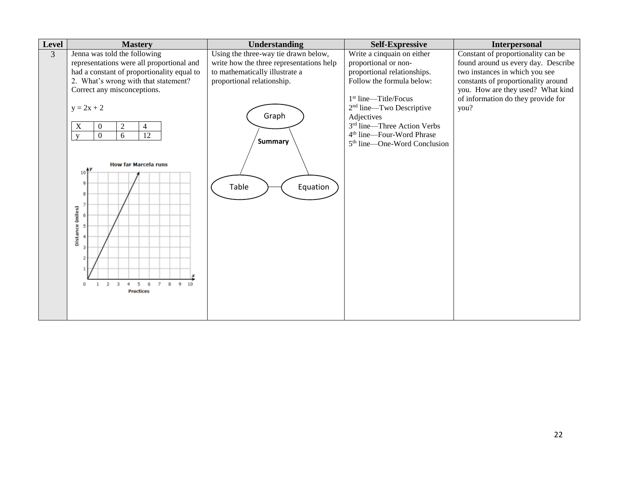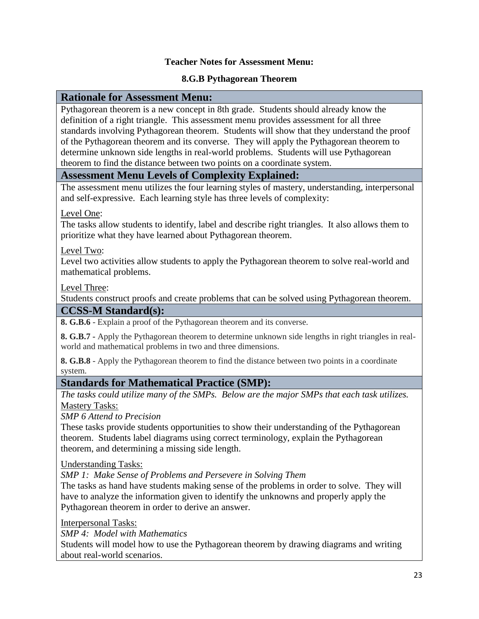#### **Teacher Notes for Assessment Menu:**

#### **8.G.B Pythagorean Theorem**

#### **Rationale for Assessment Menu:**

Pythagorean theorem is a new concept in 8th grade. Students should already know the definition of a right triangle. This assessment menu provides assessment for all three standards involving Pythagorean theorem. Students will show that they understand the proof of the Pythagorean theorem and its converse. They will apply the Pythagorean theorem to determine unknown side lengths in real-world problems. Students will use Pythagorean theorem to find the distance between two points on a coordinate system.

#### **Assessment Menu Levels of Complexity Explained:**

The assessment menu utilizes the four learning styles of mastery, understanding, interpersonal and self-expressive. Each learning style has three levels of complexity:

#### Level One:

The tasks allow students to identify, label and describe right triangles. It also allows them to prioritize what they have learned about Pythagorean theorem.

Level Two:

Level two activities allow students to apply the Pythagorean theorem to solve real-world and mathematical problems.

Level Three:

Students construct proofs and create problems that can be solved using Pythagorean theorem.

#### **CCSS-M Standard(s):**

**8. G.B.6** - Explain a proof of the Pythagorean theorem and its converse.

**8. G.B.7 -** Apply the Pythagorean theorem to determine unknown side lengths in right triangles in realworld and mathematical problems in two and three dimensions.

**8. G.B.8** - Apply the Pythagorean theorem to find the distance between two points in a coordinate system.

# **Standards for Mathematical Practice (SMP):**

*The tasks could utilize many of the SMPs. Below are the major SMPs that each task utilizes.* Mastery Tasks:

*SMP 6 Attend to Precision*

These tasks provide students opportunities to show their understanding of the Pythagorean theorem. Students label diagrams using correct terminology, explain the Pythagorean theorem, and determining a missing side length.

Understanding Tasks:

*SMP 1: Make Sense of Problems and Persevere in Solving Them*

The tasks as hand have students making sense of the problems in order to solve. They will have to analyze the information given to identify the unknowns and properly apply the Pythagorean theorem in order to derive an answer.

Interpersonal Tasks:

*SMP 4: Model with Mathematics*

Students will model how to use the Pythagorean theorem by drawing diagrams and writing about real-world scenarios.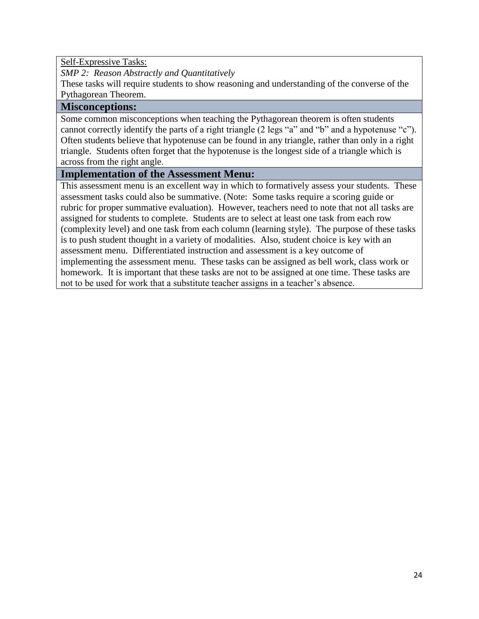Self-Expressive Tasks:

*SMP 2: Reason Abstractly and Quantitatively* 

These tasks will require students to show reasoning and understanding of the converse of the Pythagorean Theorem.

#### **Misconceptions:**

Some common misconceptions when teaching the Pythagorean theorem is often students cannot correctly identify the parts of a right triangle (2 legs "a" and "b" and a hypotenuse "c"). Often students believe that hypotenuse can be found in any triangle, rather than only in a right triangle. Students often forget that the hypotenuse is the longest side of a triangle which is across from the right angle.

#### **Implementation of the Assessment Menu:**

This assessment menu is an excellent way in which to formatively assess your students. These assessment tasks could also be summative. (Note: Some tasks require a scoring guide or rubric for proper summative evaluation). However, teachers need to note that not all tasks are assigned for students to complete. Students are to select at least one task from each row (complexity level) and one task from each column (learning style). The purpose of these tasks is to push student thought in a variety of modalities. Also, student choice is key with an assessment menu. Differentiated instruction and assessment is a key outcome of implementing the assessment menu. These tasks can be assigned as bell work, class work or homework. It is important that these tasks are not to be assigned at one time. These tasks are not to be used for work that a substitute teacher assigns in a teacher's absence.